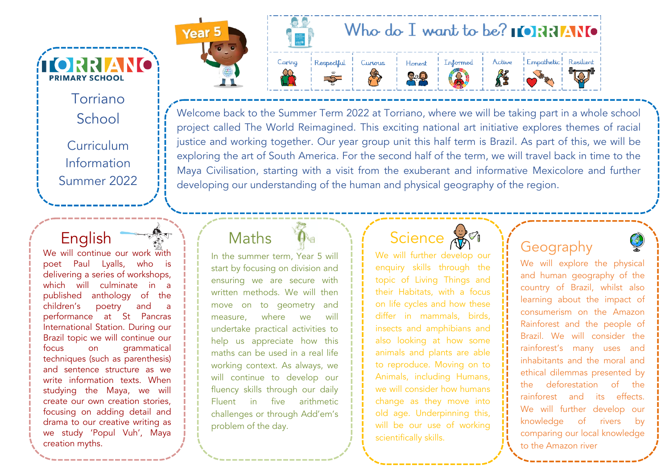Torriano School Curriculum Information Summer 2022

**TORRIANO** 

**PRIMARY SCHOOL** 

 English We will continue our work with poet Paul Lyalls, who is delivering a series of workshops, which will culminate in a published anthology of the children's poetry and a performance at St Pancras International Station. During our Brazil topic we will continue our focus on grammatical techniques (such as parenthesis) and sentence structure as we write information texts. When studying the Maya, we will create our own creation stories, focusing on adding detail and drama to our creative writing as we study 'Popul Vuh', Maya creation myths.

**Year** 

#### Who do I want to be?  $\blacksquare$   $\blacksquare$   $\blacksquare$   $\blacksquare$   $\blacksquare$ Empathetic! Resilient Respectful Caring Curious Informed Active Honest **RE**  $2.0$

Welcome back to the Summer Term 2022 at Torriano, where we will be taking part in a whole school project called The World Reimagined. This exciting national art initiative explores themes of racial justice and working together. Our year group unit this half term is Brazil. As part of this, we will be exploring the art of South America. For the second half of the term, we will travel back in time to the Maya Civilisation, starting with a visit from the exuberant and informative Mexicolore and further developing our understanding of the human and physical geography of the region.

#### Maths

In the summer term, Year 5 will start by focusing on division and ensuring we are secure with written methods. We will then move on to geometry and measure, where we will undertake practical activities to help us appreciate how this maths can be used in a real life working context. As always, we will continue to develop our fluency skills through our daily Fluent in five arithmetic challenges or through Add'em's problem of the day.

### **Science**

We will further develop our enquiry skills through the topic of Living Things and their Habitats, with a focus on life cycles and how these differ in mammals, birds, insects and amphibians and also looking at how some animals and plants are able to reproduce. Moving on to Animals, including Humans, we will consider how humans change as they move into old age. Underpinning this, will be our use of working scientifically skills.

#### Geography

We will explore the physical and human geography of the country of Brazil, whilst also learning about the impact of consumerism on the Amazon Rainforest and the people of Brazil. We will consider the rainforest's many uses and inhabitants and the moral and ethical dilemmas presented by the deforestation of the rainforest and its effects. We will further develop our knowledge of rivers by comparing our local knowledge to the Amazon river